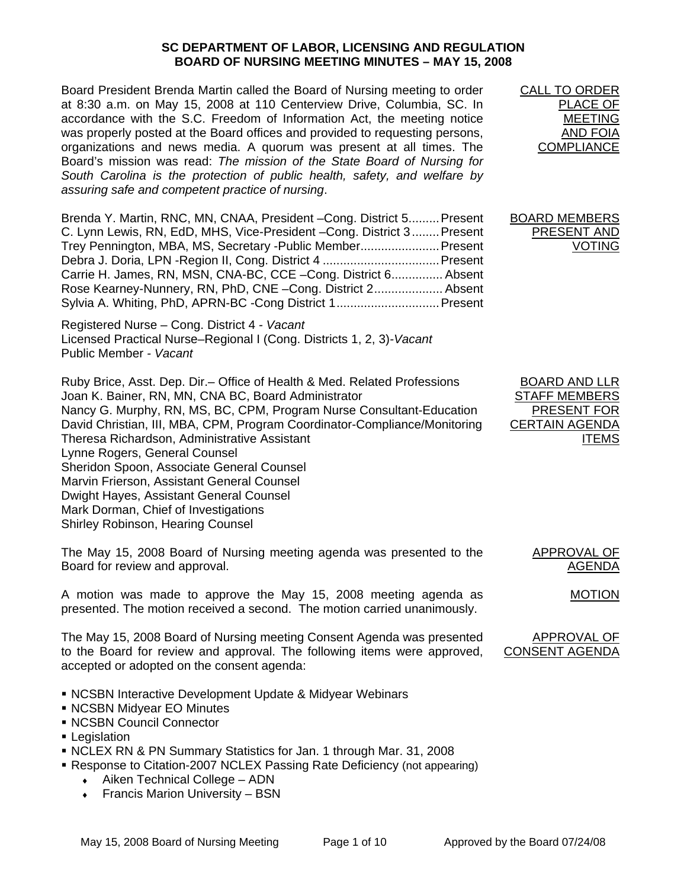## **SC DEPARTMENT OF LABOR, LICENSING AND REGULATION BOARD OF NURSING MEETING MINUTES – MAY 15, 2008**

Board President Brenda Martin called the Board of Nursing meeting to order at 8:30 a.m. on May 15, 2008 at 110 Centerview Drive, Columbia, SC. In accordance with the S.C. Freedom of Information Act, the meeting notice was properly posted at the Board offices and provided to requesting persons, organizations and news media. A quorum was present at all times. The Board's mission was read: *The mission of the State Board of Nursing for South Carolina is the protection of public health, safety, and welfare by assuring safe and competent practice of nursing*.

Brenda Y. Martin, RNC, MN, CNAA, President –Cong. District 5.........Present C. Lynn Lewis, RN, EdD, MHS, Vice-President –Cong. District 3........Present Trey Pennington, MBA, MS, Secretary -Public Member.......................Present Debra J. Doria, LPN -Region II, Cong. District 4 ..................................Present Carrie H. James, RN, MSN, CNA-BC, CCE –Cong. District 6............... Absent Rose Kearney-Nunnery, RN, PhD, CNE –Cong. District 2.................... Absent Sylvia A. Whiting, PhD, APRN-BC -Cong District 1..............................Present

Registered Nurse – Cong. District 4 *- Vacant* Licensed Practical Nurse–Regional I (Cong. Districts 1, 2, 3)*-Vacant* Public Member *- Vacant*

Ruby Brice, Asst. Dep. Dir.– Office of Health & Med. Related Professions Joan K. Bainer, RN, MN, CNA BC, Board Administrator Nancy G. Murphy, RN, MS, BC, CPM, Program Nurse Consultant-Education David Christian, III, MBA, CPM, Program Coordinator-Compliance/Monitoring Theresa Richardson, Administrative Assistant Lynne Rogers, General Counsel Sheridon Spoon, Associate General Counsel Marvin Frierson, Assistant General Counsel Dwight Hayes, Assistant General Counsel Mark Dorman, Chief of Investigations Shirley Robinson, Hearing Counsel

The May 15, 2008 Board of Nursing meeting agenda was presented to the Board for review and approval.

A motion was made to approve the May 15, 2008 meeting agenda as presented. The motion received a second. The motion carried unanimously.

The May 15, 2008 Board of Nursing meeting Consent Agenda was presented to the Board for review and approval. The following items were approved, accepted or adopted on the consent agenda:

- NCSBN Interactive Development Update & Midyear Webinars
- NCSBN Midyear EO Minutes
- NCSBN Council Connector
- **Legislation**
- NCLEX RN & PN Summary Statistics for Jan. 1 through Mar. 31, 2008
- Response to Citation-2007 NCLEX Passing Rate Deficiency (not appearing)
	- Aiken Technical College ADN
	- $\leftarrow$  Francis Marion University BSN

CALL TO ORDER PLACE OF MEETING AND FOIA **COMPLIANCE** 

BOARD MEMBERS PRESENT AND VOTING

BOARD AND LLR STAFF MEMBERS PRESENT FOR CERTAIN AGENDA **ITEMS** 

MOTION

APPROVAL OF

AGENDA

APPROVAL OF CONSENT AGENDA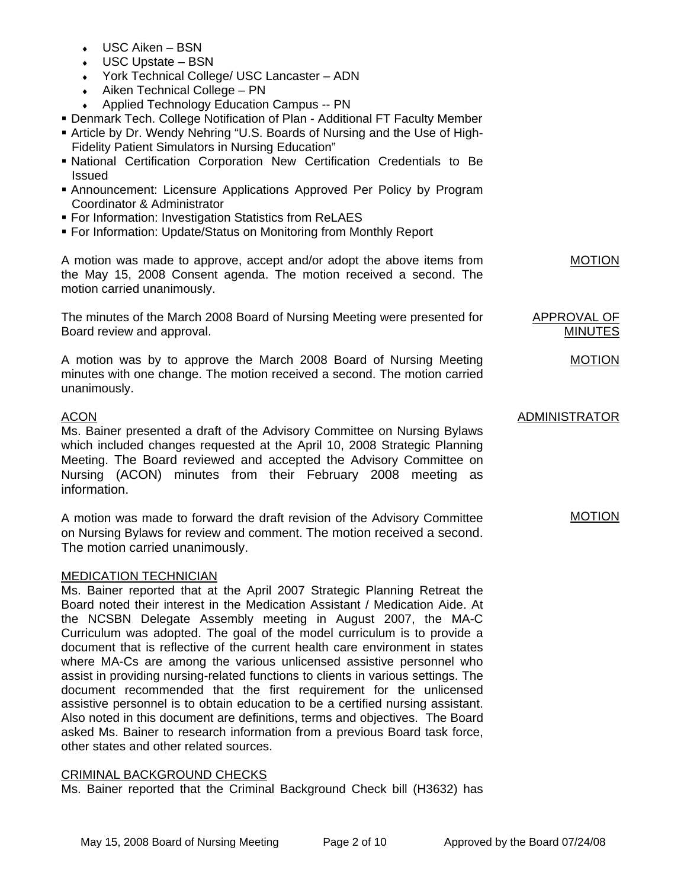- $\cdot$  USC Aiken BSN
- USC Upstate BSN
- ♦ York Technical College/ USC Lancaster ADN
- $\triangleleft$  Aiken Technical College PN
- ♦ Applied Technology Education Campus -- PN
- Denmark Tech. College Notification of Plan Additional FT Faculty Member
- Article by Dr. Wendy Nehring "U.S. Boards of Nursing and the Use of High-Fidelity Patient Simulators in Nursing Education"
- National Certification Corporation New Certification Credentials to Be Issued
- Announcement: Licensure Applications Approved Per Policy by Program Coordinator & Administrator
- **For Information: Investigation Statistics from ReLAES**
- For Information: Update/Status on Monitoring from Monthly Report

A motion was made to approve, accept and/or adopt the above items from the May 15, 2008 Consent agenda. The motion received a second. The motion carried unanimously.

The minutes of the March 2008 Board of Nursing Meeting were presented for Board review and approval.

A motion was by to approve the March 2008 Board of Nursing Meeting minutes with one change. The motion received a second. The motion carried unanimously.

# ACON

Ms. Bainer presented a draft of the Advisory Committee on Nursing Bylaws which included changes requested at the April 10, 2008 Strategic Planning Meeting. The Board reviewed and accepted the Advisory Committee on Nursing (ACON) minutes from their February 2008 meeting as information.

A motion was made to forward the draft revision of the Advisory Committee on Nursing Bylaws for review and comment. The motion received a second. The motion carried unanimously.

## MEDICATION TECHNICIAN

Ms. Bainer reported that at the April 2007 Strategic Planning Retreat the Board noted their interest in the Medication Assistant / Medication Aide. At the NCSBN Delegate Assembly meeting in August 2007, the MA-C Curriculum was adopted. The goal of the model curriculum is to provide a document that is reflective of the current health care environment in states where MA-Cs are among the various unlicensed assistive personnel who assist in providing nursing-related functions to clients in various settings. The document recommended that the first requirement for the unlicensed assistive personnel is to obtain education to be a certified nursing assistant. Also noted in this document are definitions, terms and objectives. The Board asked Ms. Bainer to research information from a previous Board task force, other states and other related sources.

## CRIMINAL BACKGROUND CHECKS

Ms. Bainer reported that the Criminal Background Check bill (H3632) has

ADMINISTRATOR

APPROVAL OF MINUTES

**MOTION** 

MOTION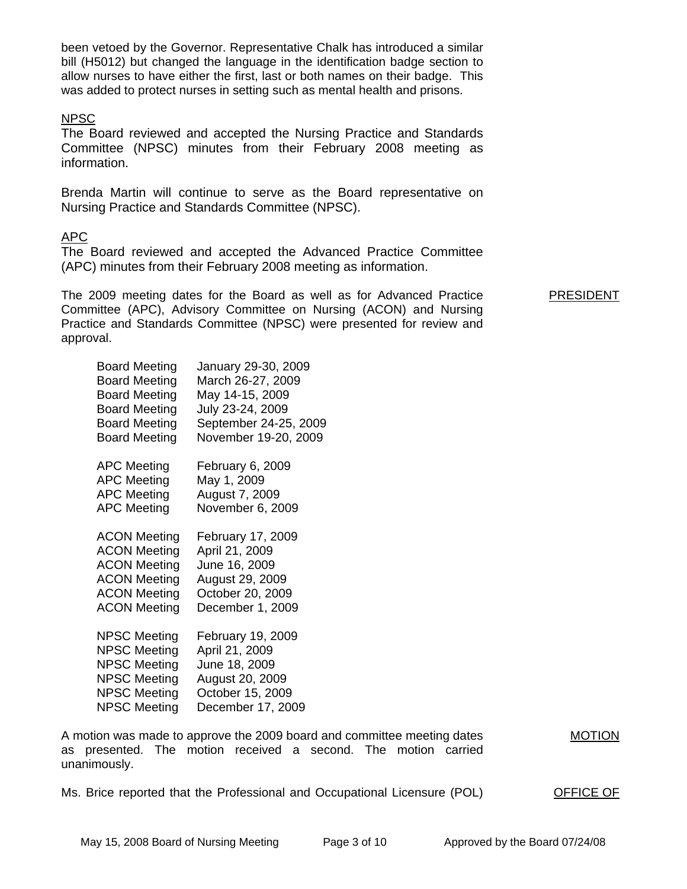been vetoed by the Governor. Representative Chalk has introduced a similar bill (H5012) but changed the language in the identification badge section to allow nurses to have either the first, last or both names on their badge. This was added to protect nurses in setting such as mental health and prisons.

## NPSC

The Board reviewed and accepted the Nursing Practice and Standards Committee (NPSC) minutes from their February 2008 meeting as information.

Brenda Martin will continue to serve as the Board representative on Nursing Practice and Standards Committee (NPSC).

# APC

The Board reviewed and accepted the Advanced Practice Committee (APC) minutes from their February 2008 meeting as information.

The 2009 meeting dates for the Board as well as for Advanced Practice Committee (APC), Advisory Committee on Nursing (ACON) and Nursing Practice and Standards Committee (NPSC) were presented for review and approval. PRESIDENT

| <b>Board Meeting</b> | January 29-30, 2009   |
|----------------------|-----------------------|
| <b>Board Meeting</b> | March 26-27, 2009     |
| <b>Board Meeting</b> | May 14-15, 2009       |
| <b>Board Meeting</b> | July 23-24, 2009      |
| <b>Board Meeting</b> | September 24-25, 2009 |
| <b>Board Meeting</b> | November 19-20, 2009  |
| <b>APC Meeting</b>   | February 6, 2009      |
| <b>APC Meeting</b>   | May 1, 2009           |
| <b>APC Meeting</b>   | August 7, 2009        |
| <b>APC Meeting</b>   | November 6, 2009      |
| <b>ACON Meeting</b>  | February 17, 2009     |
| <b>ACON Meeting</b>  | April 21, 2009        |
| <b>ACON Meeting</b>  | June 16, 2009         |
| <b>ACON Meeting</b>  | August 29, 2009       |
| <b>ACON Meeting</b>  | October 20, 2009      |
| <b>ACON Meeting</b>  | December 1, 2009      |
| NPSC Meeting         | February 19, 2009     |
| NPSC Meeting         | April 21, 2009        |
| <b>NPSC Meeting</b>  | June 18, 2009         |
| <b>NPSC Meeting</b>  | August 20, 2009       |
| <b>NPSC Meeting</b>  | October 15, 2009      |
| <b>NPSC Meeting</b>  | December 17, 2009     |

A motion was made to approve the 2009 board and committee meeting dates as presented. The motion received a second. The motion carried unanimously. MOTION

Ms. Brice reported that the Professional and Occupational Licensure (POL) OFFICE OF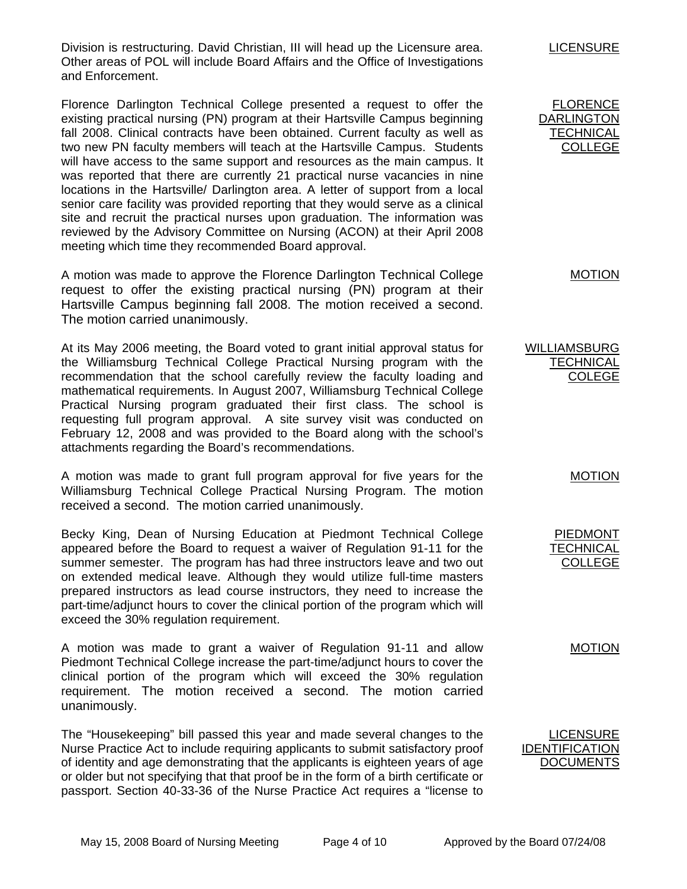Division is restructuring. David Christian, III will head up the Licensure area. Other areas of POL will include Board Affairs and the Office of Investigations and Enforcement.

Florence Darlington Technical College presented a request to offer the existing practical nursing (PN) program at their Hartsville Campus beginning fall 2008. Clinical contracts have been obtained. Current faculty as well as two new PN faculty members will teach at the Hartsville Campus. Students will have access to the same support and resources as the main campus. It was reported that there are currently 21 practical nurse vacancies in nine locations in the Hartsville/ Darlington area. A letter of support from a local senior care facility was provided reporting that they would serve as a clinical site and recruit the practical nurses upon graduation. The information was reviewed by the Advisory Committee on Nursing (ACON) at their April 2008 meeting which time they recommended Board approval.

A motion was made to approve the Florence Darlington Technical College request to offer the existing practical nursing (PN) program at their Hartsville Campus beginning fall 2008. The motion received a second. The motion carried unanimously.

At its May 2006 meeting, the Board voted to grant initial approval status for the Williamsburg Technical College Practical Nursing program with the recommendation that the school carefully review the faculty loading and mathematical requirements. In August 2007, Williamsburg Technical College Practical Nursing program graduated their first class. The school is requesting full program approval. A site survey visit was conducted on February 12, 2008 and was provided to the Board along with the school's attachments regarding the Board's recommendations.

A motion was made to grant full program approval for five years for the Williamsburg Technical College Practical Nursing Program. The motion received a second. The motion carried unanimously.

Becky King, Dean of Nursing Education at Piedmont Technical College appeared before the Board to request a waiver of Regulation 91-11 for the summer semester. The program has had three instructors leave and two out on extended medical leave. Although they would utilize full-time masters prepared instructors as lead course instructors, they need to increase the part-time/adjunct hours to cover the clinical portion of the program which will exceed the 30% regulation requirement.

A motion was made to grant a waiver of Regulation 91-11 and allow Piedmont Technical College increase the part-time/adjunct hours to cover the clinical portion of the program which will exceed the 30% regulation requirement. The motion received a second. The motion carried unanimously.

The "Housekeeping" bill passed this year and made several changes to the Nurse Practice Act to include requiring applicants to submit satisfactory proof of identity and age demonstrating that the applicants is eighteen years of age or older but not specifying that that proof be in the form of a birth certificate or passport. Section 40-33-36 of the Nurse Practice Act requires a "license to LICENSURE

FLORENCE DARLINGTON **TECHNICAL** COLLEGE

MOTION

WILLIAMSBURG **TECHNICAL** COLEGE

MOTION

PIEDMONT **TECHNICAL** COLLEGE

MOTION

LICENSURE IDENTIFICATION **DOCUMENTS**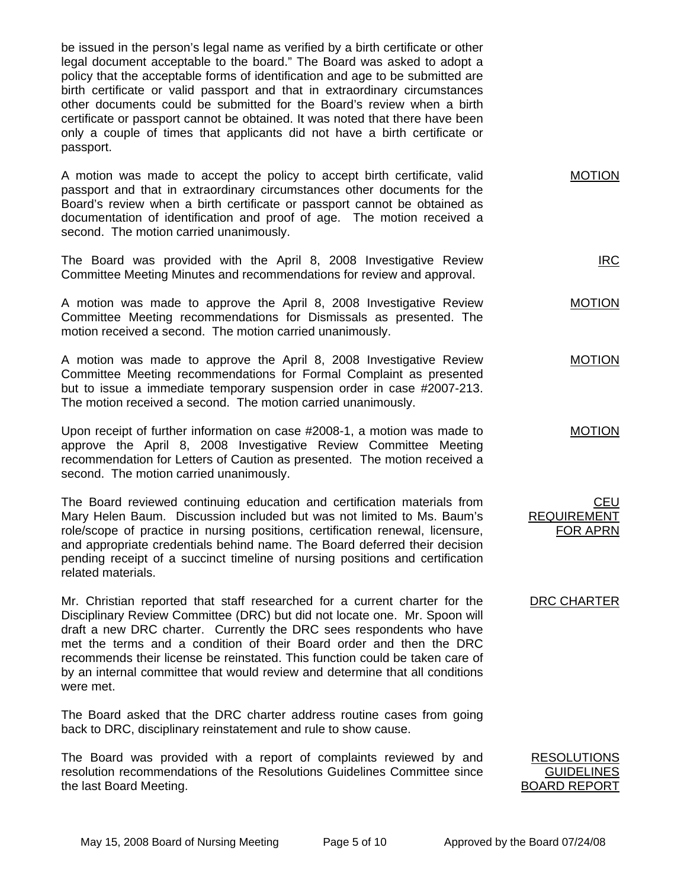be issued in the person's legal name as verified by a birth certificate or other legal document acceptable to the board." The Board was asked to adopt a policy that the acceptable forms of identification and age to be submitted are birth certificate or valid passport and that in extraordinary circumstances other documents could be submitted for the Board's review when a birth certificate or passport cannot be obtained. It was noted that there have been only a couple of times that applicants did not have a birth certificate or passport.

A motion was made to accept the policy to accept birth certificate, valid passport and that in extraordinary circumstances other documents for the Board's review when a birth certificate or passport cannot be obtained as documentation of identification and proof of age. The motion received a second. The motion carried unanimously. MOTION

The Board was provided with the April 8, 2008 Investigative Review Committee Meeting Minutes and recommendations for review and approval.

A motion was made to approve the April 8, 2008 Investigative Review Committee Meeting recommendations for Dismissals as presented. The motion received a second. The motion carried unanimously.

A motion was made to approve the April 8, 2008 Investigative Review Committee Meeting recommendations for Formal Complaint as presented but to issue a immediate temporary suspension order in case #2007-213. The motion received a second. The motion carried unanimously.

Upon receipt of further information on case #2008-1, a motion was made to approve the April 8, 2008 Investigative Review Committee Meeting recommendation for Letters of Caution as presented. The motion received a second. The motion carried unanimously.

The Board reviewed continuing education and certification materials from Mary Helen Baum. Discussion included but was not limited to Ms. Baum's role/scope of practice in nursing positions, certification renewal, licensure, and appropriate credentials behind name. The Board deferred their decision pending receipt of a succinct timeline of nursing positions and certification related materials.

Mr. Christian reported that staff researched for a current charter for the Disciplinary Review Committee (DRC) but did not locate one. Mr. Spoon will draft a new DRC charter. Currently the DRC sees respondents who have met the terms and a condition of their Board order and then the DRC recommends their license be reinstated. This function could be taken care of by an internal committee that would review and determine that all conditions were met.

The Board asked that the DRC charter address routine cases from going back to DRC, disciplinary reinstatement and rule to show cause.

The Board was provided with a report of complaints reviewed by and resolution recommendations of the Resolutions Guidelines Committee since the last Board Meeting.

RESOLUTIONS GUIDELINES BOARD REPORT

IRC

MOTION

MOTION

MOTION

CEU

REQUIREMENT FOR APRN

DRC CHARTER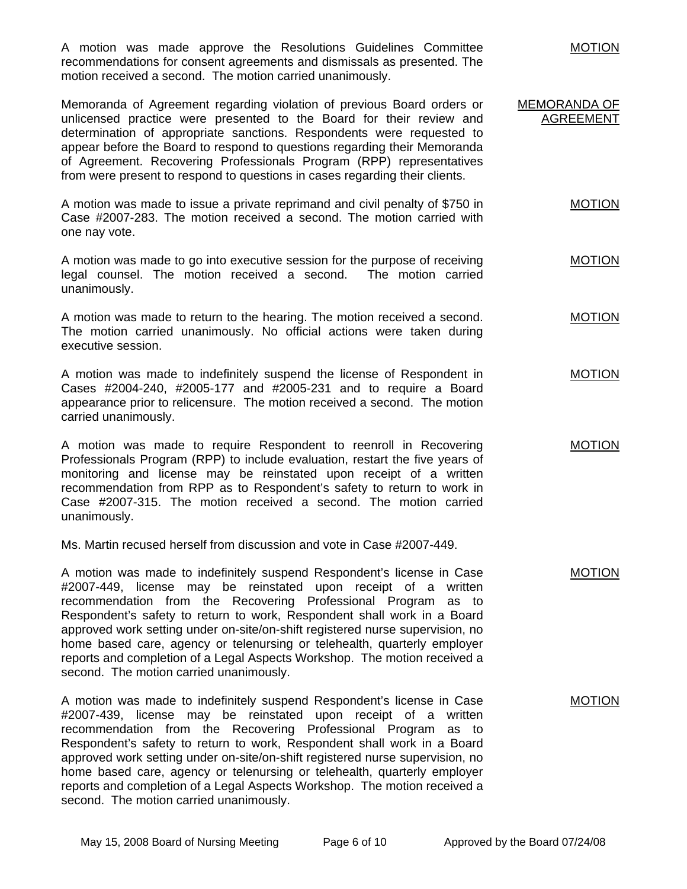A motion was made approve the Resolutions Guidelines Committee recommendations for consent agreements and dismissals as presented. The motion received a second. The motion carried unanimously.

Memoranda of Agreement regarding violation of previous Board orders or unlicensed practice were presented to the Board for their review and determination of appropriate sanctions. Respondents were requested to appear before the Board to respond to questions regarding their Memoranda of Agreement. Recovering Professionals Program (RPP) representatives from were present to respond to questions in cases regarding their clients. MEMORANDA OF AGREEMENT

A motion was made to issue a private reprimand and civil penalty of \$750 in Case #2007-283. The motion received a second. The motion carried with one nay vote. MOTION

A motion was made to go into executive session for the purpose of receiving legal counsel. The motion received a second. The motion carried unanimously.

A motion was made to return to the hearing. The motion received a second. The motion carried unanimously. No official actions were taken during executive session. MOTION

A motion was made to indefinitely suspend the license of Respondent in Cases #2004-240, #2005-177 and #2005-231 and to require a Board appearance prior to relicensure. The motion received a second. The motion carried unanimously. MOTION

A motion was made to require Respondent to reenroll in Recovering Professionals Program (RPP) to include evaluation, restart the five years of monitoring and license may be reinstated upon receipt of a written recommendation from RPP as to Respondent's safety to return to work in Case #2007-315. The motion received a second. The motion carried unanimously. MOTION

Ms. Martin recused herself from discussion and vote in Case #2007-449.

A motion was made to indefinitely suspend Respondent's license in Case #2007-449, license may be reinstated upon receipt of a written recommendation from the Recovering Professional Program as to Respondent's safety to return to work, Respondent shall work in a Board approved work setting under on-site/on-shift registered nurse supervision, no home based care, agency or telenursing or telehealth, quarterly employer reports and completion of a Legal Aspects Workshop. The motion received a second. The motion carried unanimously. MOTION

A motion was made to indefinitely suspend Respondent's license in Case #2007-439, license may be reinstated upon receipt of a written recommendation from the Recovering Professional Program as to Respondent's safety to return to work, Respondent shall work in a Board approved work setting under on-site/on-shift registered nurse supervision, no home based care, agency or telenursing or telehealth, quarterly employer reports and completion of a Legal Aspects Workshop. The motion received a second. The motion carried unanimously. MOTION

**MOTION**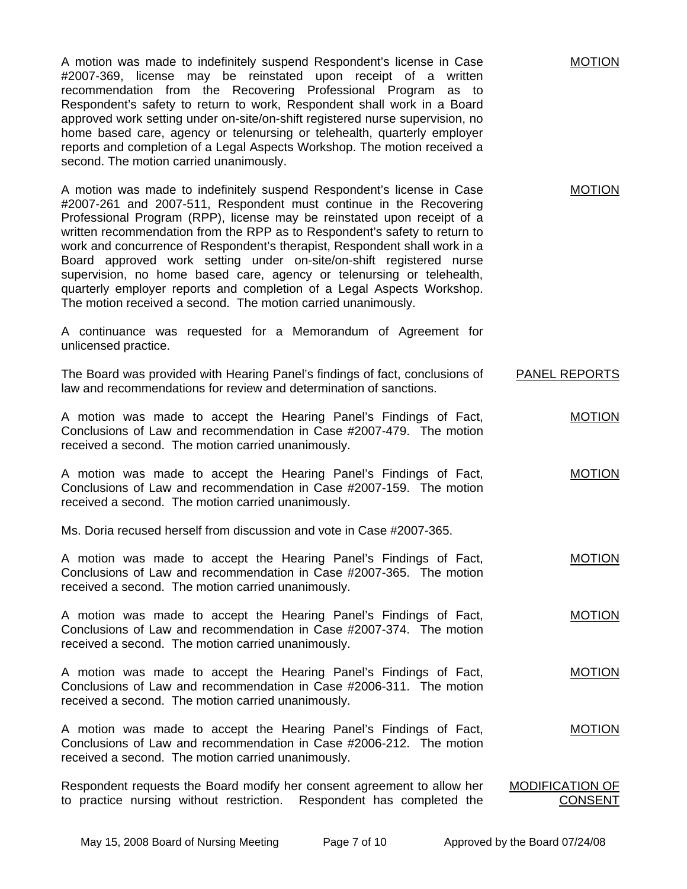A motion was made to indefinitely suspend Respondent's license in Case #2007-369, license may be reinstated upon receipt of a written recommendation from the Recovering Professional Program as to Respondent's safety to return to work, Respondent shall work in a Board approved work setting under on-site/on-shift registered nurse supervision, no home based care, agency or telenursing or telehealth, quarterly employer reports and completion of a Legal Aspects Workshop. The motion received a second. The motion carried unanimously.

A motion was made to indefinitely suspend Respondent's license in Case #2007-261 and 2007-511, Respondent must continue in the Recovering Professional Program (RPP), license may be reinstated upon receipt of a written recommendation from the RPP as to Respondent's safety to return to work and concurrence of Respondent's therapist, Respondent shall work in a Board approved work setting under on-site/on-shift registered nurse supervision, no home based care, agency or telenursing or telehealth, quarterly employer reports and completion of a Legal Aspects Workshop. The motion received a second. The motion carried unanimously.

A continuance was requested for a Memorandum of Agreement for unlicensed practice.

The Board was provided with Hearing Panel's findings of fact, conclusions of law and recommendations for review and determination of sanctions. PANEL REPORTS

A motion was made to accept the Hearing Panel's Findings of Fact, Conclusions of Law and recommendation in Case #2007-479. The motion received a second. The motion carried unanimously.

A motion was made to accept the Hearing Panel's Findings of Fact, Conclusions of Law and recommendation in Case #2007-159. The motion received a second. The motion carried unanimously. MOTION

Ms. Doria recused herself from discussion and vote in Case #2007-365.

A motion was made to accept the Hearing Panel's Findings of Fact, Conclusions of Law and recommendation in Case #2007-365. The motion received a second. The motion carried unanimously. MOTION

A motion was made to accept the Hearing Panel's Findings of Fact, Conclusions of Law and recommendation in Case #2007-374. The motion received a second. The motion carried unanimously. MOTION

A motion was made to accept the Hearing Panel's Findings of Fact, Conclusions of Law and recommendation in Case #2006-311. The motion received a second. The motion carried unanimously. MOTION

A motion was made to accept the Hearing Panel's Findings of Fact, Conclusions of Law and recommendation in Case #2006-212. The motion received a second. The motion carried unanimously. MOTION

Respondent requests the Board modify her consent agreement to allow her to practice nursing without restriction. Respondent has completed the MODIFICATION OF CONSENT

MOTION

MOTION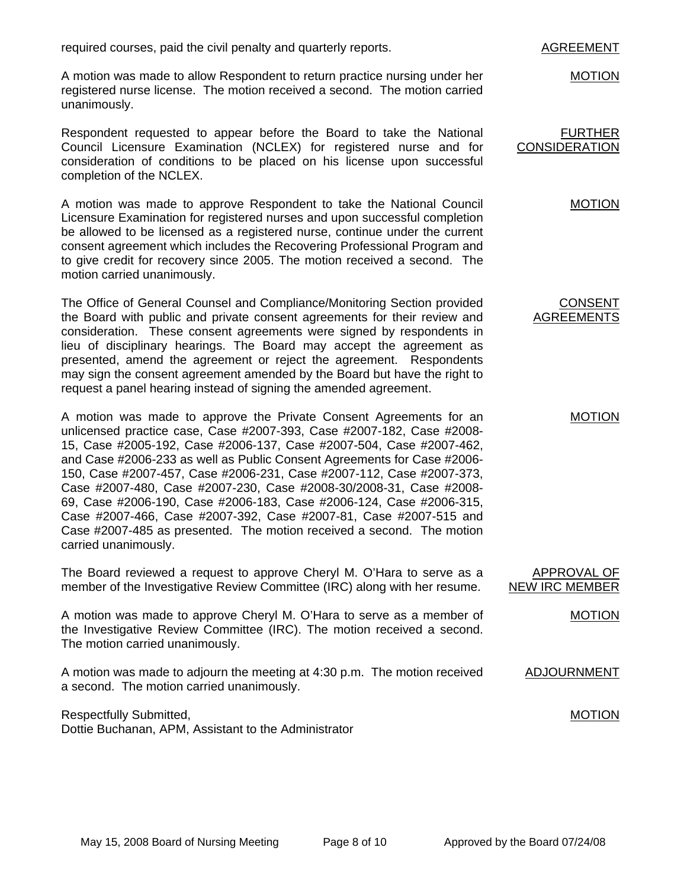required courses, paid the civil penalty and quarterly reports.

A motion was made to allow Respondent to return practice nursing under her registered nurse license. The motion received a second. The motion carried unanimously.

Respondent requested to appear before the Board to take the National Council Licensure Examination (NCLEX) for registered nurse and for consideration of conditions to be placed on his license upon successful completion of the NCLEX.

A motion was made to approve Respondent to take the National Council Licensure Examination for registered nurses and upon successful completion be allowed to be licensed as a registered nurse, continue under the current consent agreement which includes the Recovering Professional Program and to give credit for recovery since 2005. The motion received a second. The motion carried unanimously.

The Office of General Counsel and Compliance/Monitoring Section provided the Board with public and private consent agreements for their review and consideration. These consent agreements were signed by respondents in lieu of disciplinary hearings. The Board may accept the agreement as presented, amend the agreement or reject the agreement. Respondents may sign the consent agreement amended by the Board but have the right to request a panel hearing instead of signing the amended agreement.

A motion was made to approve the Private Consent Agreements for an unlicensed practice case, Case #2007-393, Case #2007-182, Case #2008- 15, Case #2005-192, Case #2006-137, Case #2007-504, Case #2007-462, and Case #2006-233 as well as Public Consent Agreements for Case #2006- 150, Case #2007-457, Case #2006-231, Case #2007-112, Case #2007-373, Case #2007-480, Case #2007-230, Case #2008-30/2008-31, Case #2008- 69, Case #2006-190, Case #2006-183, Case #2006-124, Case #2006-315, Case #2007-466, Case #2007-392, Case #2007-81, Case #2007-515 and Case #2007-485 as presented. The motion received a second. The motion carried unanimously.

The Board reviewed a request to approve Cheryl M. O'Hara to serve as a member of the Investigative Review Committee (IRC) along with her resume.

A motion was made to approve Cheryl M. O'Hara to serve as a member of the Investigative Review Committee (IRC). The motion received a second. The motion carried unanimously.

A motion was made to adjourn the meeting at 4:30 p.m. The motion received a second. The motion carried unanimously.

Respectfully Submitted, Dottie Buchanan, APM, Assistant to the Administrator

#### AGREEMENT

MOTION

FURTHER CONSIDERATION

MOTION

CONSENT AGREEMENTS

MOTION

NEW IRC MEMBER MOTION

APPROVAL OF

ADJOURNMENT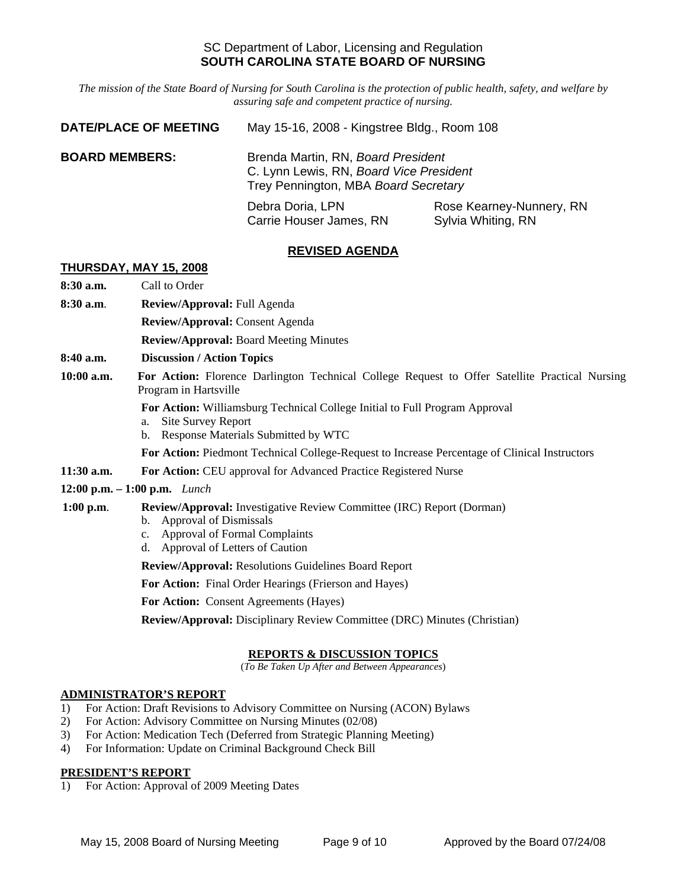## SC Department of Labor, Licensing and Regulation **SOUTH CAROLINA STATE BOARD OF NURSING**

*The mission of the State Board of Nursing for South Carolina is the protection of public health, safety, and welfare by assuring safe and competent practice of nursing.*

| <b>DATE/PLACE OF MEETING</b> | May 15-16, 2008 - Kingstree Bldg., Room 108                                                                           |                          |
|------------------------------|-----------------------------------------------------------------------------------------------------------------------|--------------------------|
| <b>BOARD MEMBERS:</b>        | Brenda Martin, RN, Board President<br>C. Lynn Lewis, RN, Board Vice President<br>Trey Pennington, MBA Board Secretary |                          |
|                              | Debra Doria, LPN                                                                                                      | Rose Kearney-Nunnery, RN |

# **REVISED AGENDA**

Carrie Houser James, RN Sylvia Whiting, RN

#### **THURSDAY, MAY 15, 2008**

**8:30 a.m.** Call to Order

- **8:30 a.m**. **Review/Approval:** Full Agenda
	- **Review/Approval:** Consent Agenda
	- **Review/Approval:** Board Meeting Minutes
- **8:40 a.m. Discussion / Action Topics**
- **10:00 a.m. For Action:** Florence Darlington Technical College Request to Offer Satellite Practical Nursing Program in Hartsville
	- **For Action:** Williamsburg Technical College Initial to Full Program Approval
	- a. Site Survey Report
	- b. Response Materials Submitted by WTC
	- **For Action:** Piedmont Technical College-Request to Increase Percentage of Clinical Instructors
- **11:30 a.m. For Action:** CEU approval for Advanced Practice Registered Nurse
- **12:00 p.m. 1:00 p.m.** *Lunch*

## **1:00 p.m**. **Review/Approval:** Investigative Review Committee (IRC) Report (Dorman)

- b. Approval of Dismissals
- c. Approval of Formal Complaints
- d. Approval of Letters of Caution

**Review/Approval:** Resolutions Guidelines Board Report

**For Action:** Final Order Hearings (Frierson and Hayes)

**For Action:** Consent Agreements (Hayes)

**Review/Approval:** Disciplinary Review Committee (DRC) Minutes (Christian)

## **REPORTS & DISCUSSION TOPICS**

(*To Be Taken Up After and Between Appearances*)

## **ADMINISTRATOR'S REPORT**

- 1) For Action: Draft Revisions to Advisory Committee on Nursing (ACON) Bylaws
- 2) For Action: Advisory Committee on Nursing Minutes (02/08)
- 3) For Action: Medication Tech (Deferred from Strategic Planning Meeting)
- 4) For Information: Update on Criminal Background Check Bill

## **PRESIDENT'S REPORT**

1) For Action: Approval of 2009 Meeting Dates